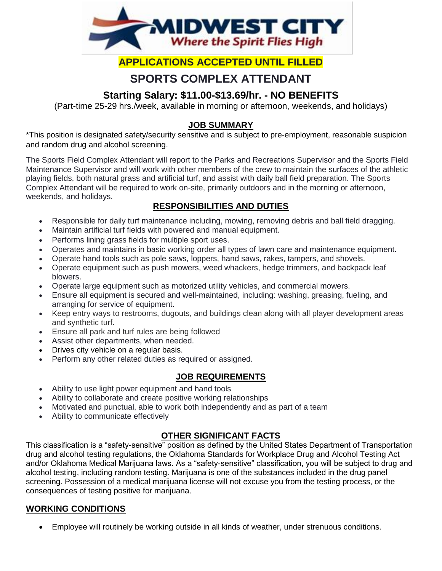

## **APPLICATIONS ACCEPTED UNTIL FILLED**

# **SPORTS COMPLEX ATTENDANT**

## **Starting Salary: \$11.00-\$13.69/hr. - NO BENEFITS**

(Part-time 25-29 hrs./week, available in morning or afternoon, weekends, and holidays)

#### **JOB SUMMARY**

\*This position is designated safety/security sensitive and is subject to pre-employment, reasonable suspicion and random drug and alcohol screening.

The Sports Field Complex Attendant will report to the Parks and Recreations Supervisor and the Sports Field Maintenance Supervisor and will work with other members of the crew to maintain the surfaces of the athletic playing fields, both natural grass and artificial turf, and assist with daily ball field preparation. The Sports Complex Attendant will be required to work on-site, primarily outdoors and in the morning or afternoon, weekends, and holidays.

### **RESPONSIBILITIES AND DUTIES**

- Responsible for daily turf maintenance including, mowing, removing debris and ball field dragging.
- Maintain artificial turf fields with powered and manual equipment.
- Performs lining grass fields for multiple sport uses.
- Operates and maintains in basic working order all types of lawn care and maintenance equipment.
- Operate hand tools such as pole saws, loppers, hand saws, rakes, tampers, and shovels.
- Operate equipment such as push mowers, weed whackers, hedge trimmers, and backpack leaf blowers.
- Operate large equipment such as motorized utility vehicles, and commercial mowers.
- Ensure all equipment is secured and well-maintained, including: washing, greasing, fueling, and arranging for service of equipment.
- Keep entry ways to restrooms, dugouts, and buildings clean along with all player development areas and synthetic turf.
- Ensure all park and turf rules are being followed
- Assist other departments, when needed.
- Drives city vehicle on a regular basis.
- Perform any other related duties as required or assigned.

#### **JOB REQUIREMENTS**

- Ability to use light power equipment and hand tools
- Ability to collaborate and create positive working relationships
- Motivated and punctual, able to work both independently and as part of a team
- Ability to communicate effectively

#### **OTHER SIGNIFICANT FACTS**

This classification is a "safety-sensitive" position as defined by the United States Department of Transportation drug and alcohol testing regulations, the Oklahoma Standards for Workplace Drug and Alcohol Testing Act and/or Oklahoma Medical Marijuana laws. As a "safety-sensitive" classification, you will be subject to drug and alcohol testing, including random testing. Marijuana is one of the substances included in the drug panel screening. Possession of a medical marijuana license will not excuse you from the testing process, or the consequences of testing positive for marijuana.

#### **WORKING CONDITIONS**

Employee will routinely be working outside in all kinds of weather, under strenuous conditions.